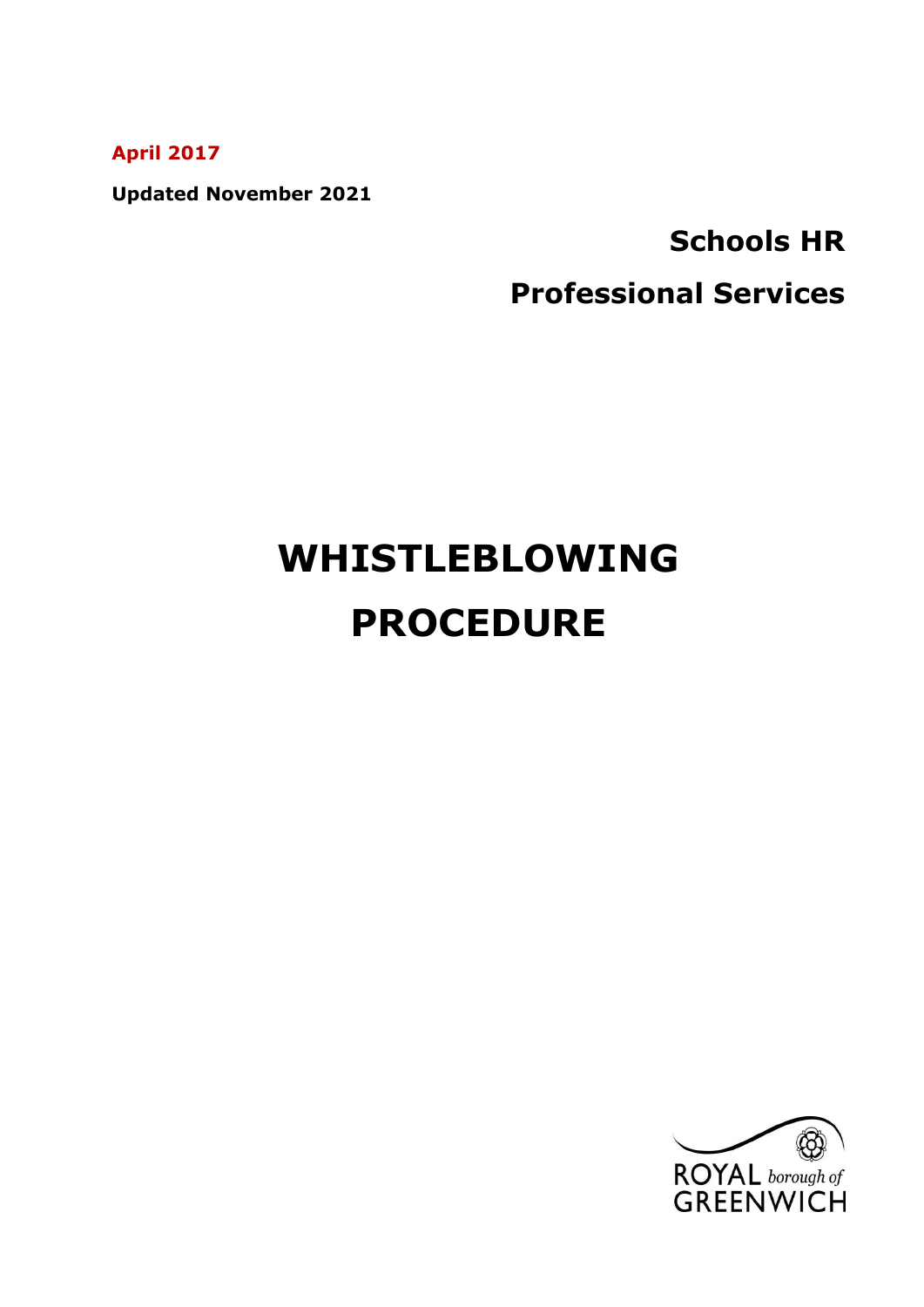**April 2017**

**Updated November 2021**

# **Schools HR Professional Services**

# **WHISTLEBLOWING PROCEDURE**

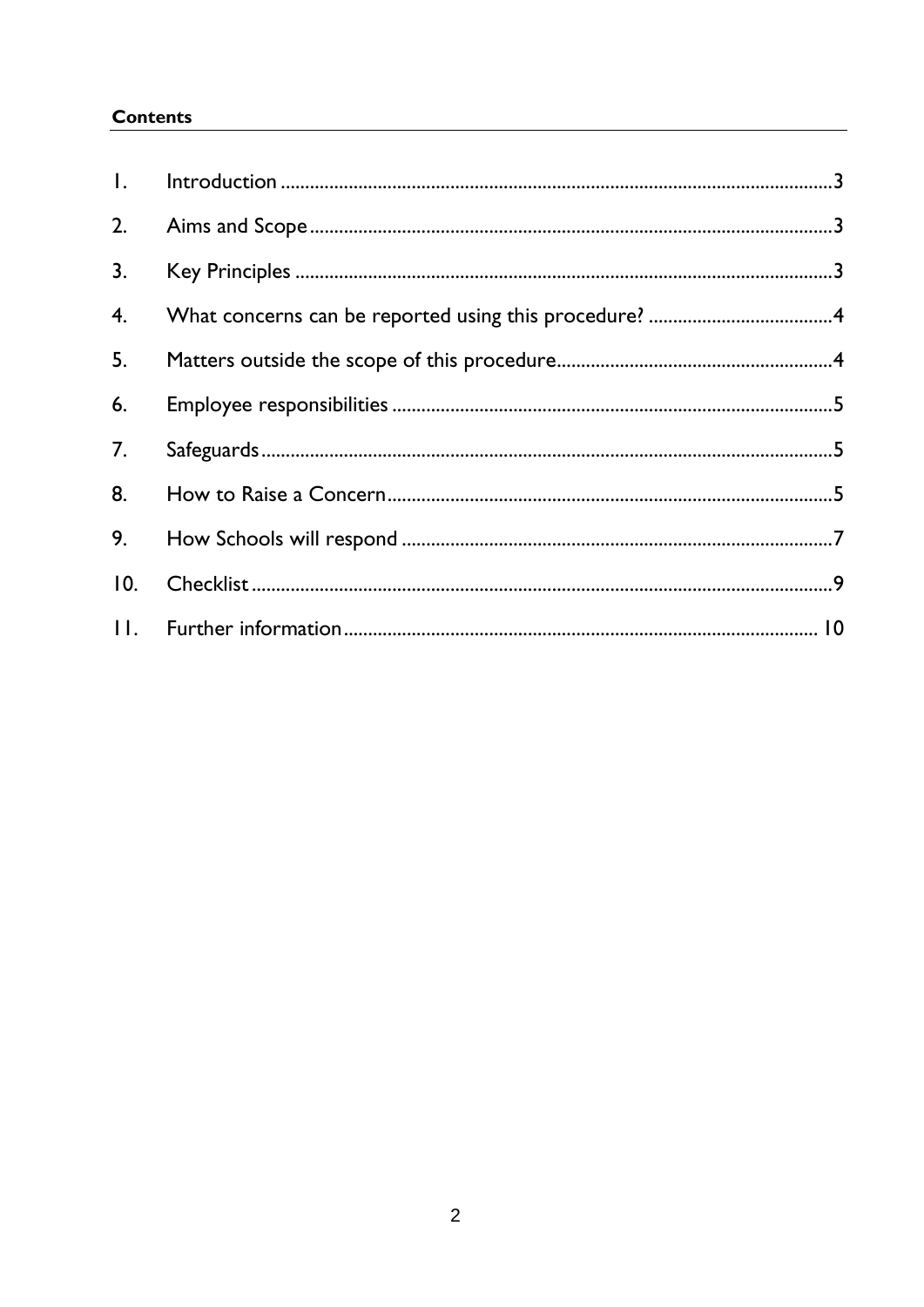# **Contents**

| $\mathbf{L}$ |  |
|--------------|--|
| 2.           |  |
| 3.           |  |
| 4.           |  |
| 5.           |  |
| 6.           |  |
| 7.           |  |
| 8.           |  |
| 9.           |  |
| 10.          |  |
| .            |  |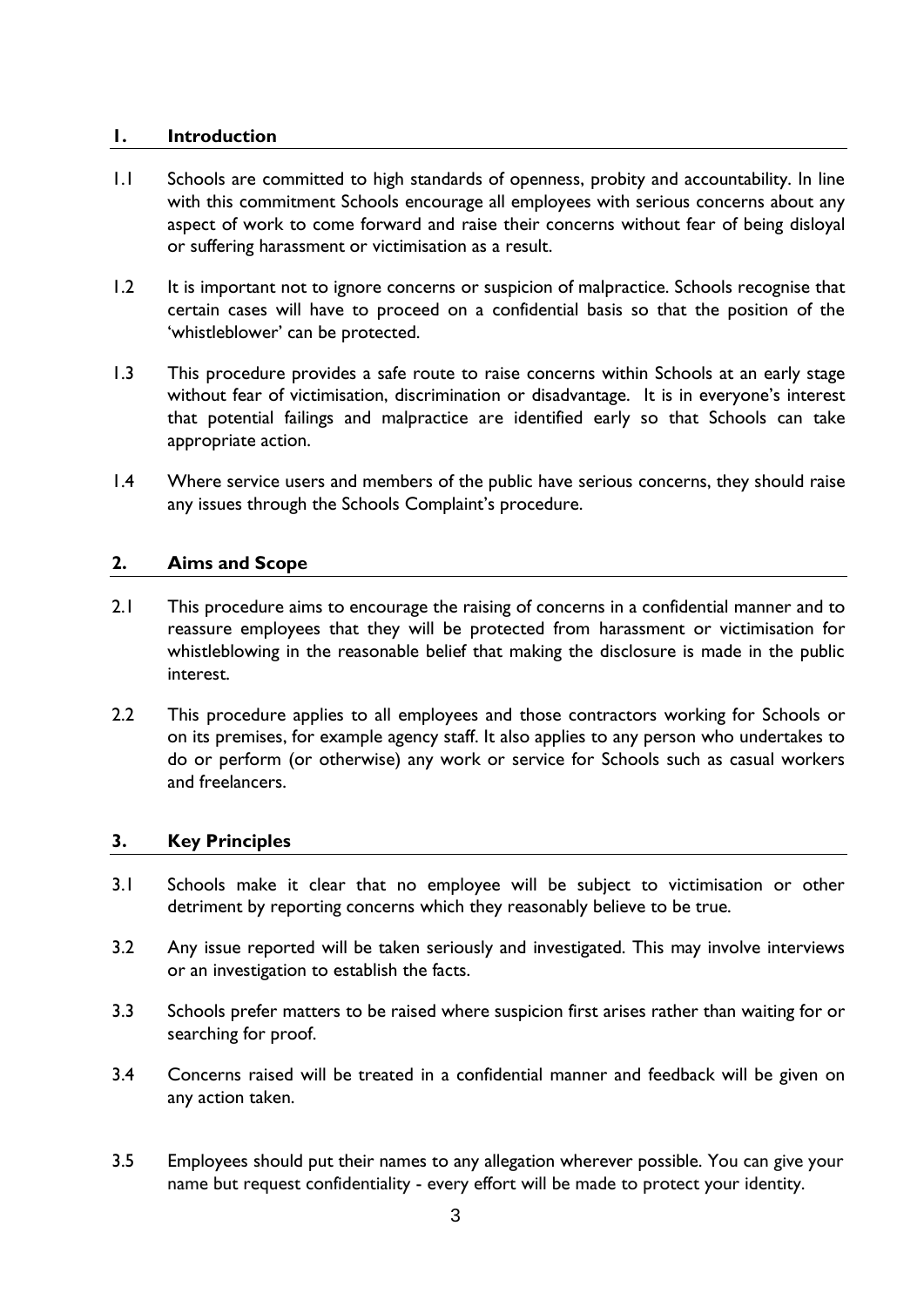#### <span id="page-2-0"></span>**1. Introduction**

- 1.1 Schools are committed to high standards of openness, probity and accountability. In line with this commitment Schools encourage all employees with serious concerns about any aspect of work to come forward and raise their concerns without fear of being disloyal or suffering harassment or victimisation as a result.
- 1.2 It is important not to ignore concerns or suspicion of malpractice. Schools recognise that certain cases will have to proceed on a confidential basis so that the position of the 'whistleblower' can be protected.
- 1.3 This procedure provides a safe route to raise concerns within Schools at an early stage without fear of victimisation, discrimination or disadvantage. It is in everyone's interest that potential failings and malpractice are identified early so that Schools can take appropriate action.
- 1.4 Where service users and members of the public have serious concerns, they should raise any issues through the Schools Complaint's procedure.

# <span id="page-2-1"></span>**2. Aims and Scope**

- 2.1 This procedure aims to encourage the raising of concerns in a confidential manner and to reassure employees that they will be protected from harassment or victimisation for whistleblowing in the reasonable belief that making the disclosure is made in the public interest.
- 2.2 This procedure applies to all employees and those contractors working for Schools or on its premises, for example agency staff. It also applies to any person who undertakes to do or perform (or otherwise) any work or service for Schools such as casual workers and freelancers.

#### <span id="page-2-2"></span>**3. Key Principles**

- 3.1 Schools make it clear that no employee will be subject to victimisation or other detriment by reporting concerns which they reasonably believe to be true.
- 3.2 Any issue reported will be taken seriously and investigated. This may involve interviews or an investigation to establish the facts.
- 3.3 Schools prefer matters to be raised where suspicion first arises rather than waiting for or searching for proof.
- 3.4 Concerns raised will be treated in a confidential manner and feedback will be given on any action taken.
- 3.5 Employees should put their names to any allegation wherever possible. You can give your name but request confidentiality - every effort will be made to protect your identity.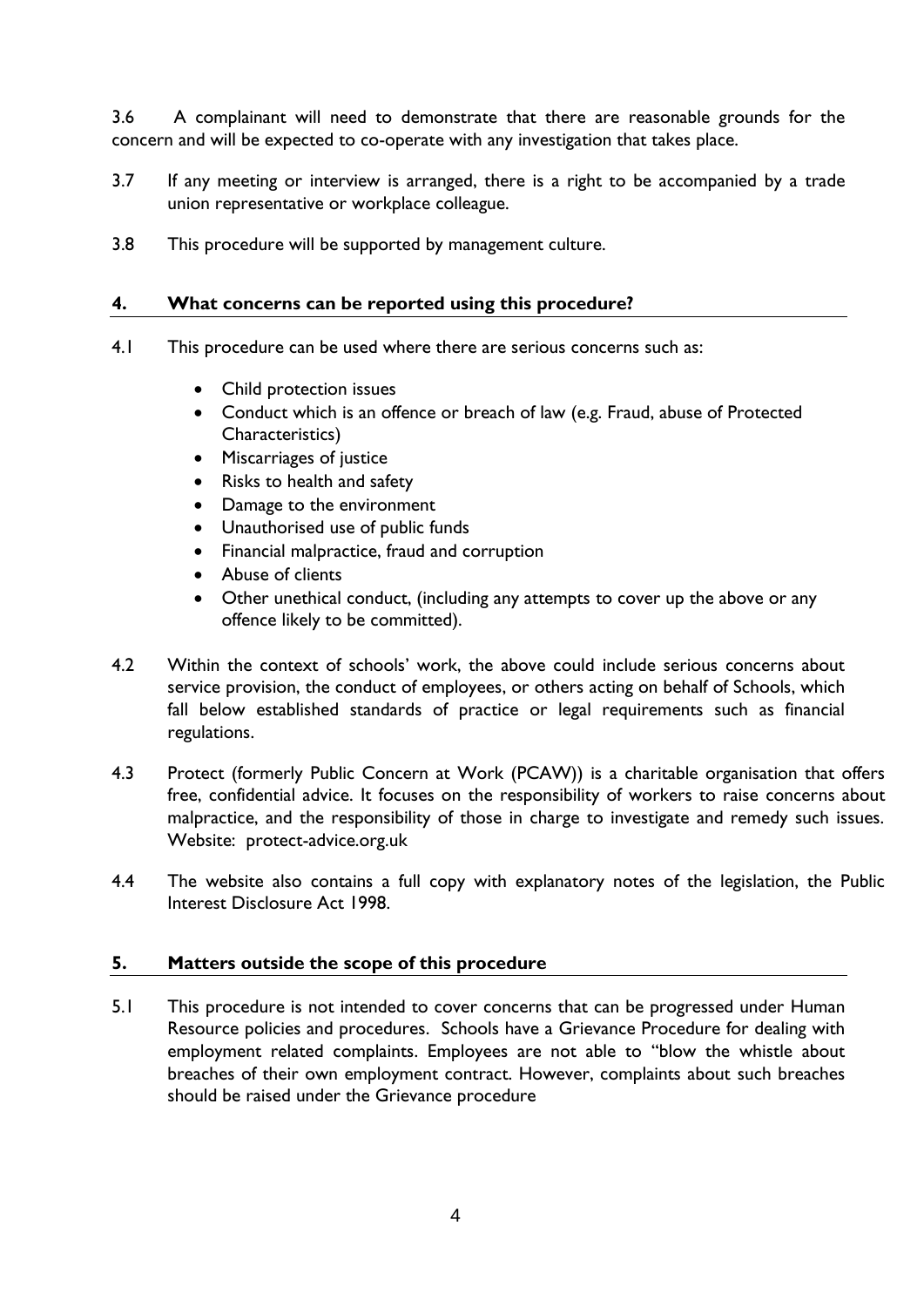3.6 A complainant will need to demonstrate that there are reasonable grounds for the concern and will be expected to co-operate with any investigation that takes place.

- 3.7 If any meeting or interview is arranged, there is a right to be accompanied by a trade union representative or workplace colleague.
- 3.8 This procedure will be supported by management culture.

### <span id="page-3-0"></span>**4. What concerns can be reported using this procedure?**

- 4.1 This procedure can be used where there are serious concerns such as:
	- Child protection issues
	- Conduct which is an offence or breach of law (e.g. Fraud, abuse of Protected Characteristics)
	- Miscarriages of justice
	- Risks to health and safety
	- Damage to the environment
	- Unauthorised use of public funds
	- Financial malpractice, fraud and corruption
	- Abuse of clients
	- Other unethical conduct, (including any attempts to cover up the above or any offence likely to be committed).
- 4.2 Within the context of schools' work, the above could include serious concerns about service provision, the conduct of employees, or others acting on behalf of Schools, which fall below established standards of practice or legal requirements such as financial regulations.
- 4.3 Protect (formerly Public Concern at Work (PCAW)) is a charitable organisation that offers free, confidential advice. It focuses on the responsibility of workers to raise concerns about malpractice, and the responsibility of those in charge to investigate and remedy such issues. Website: protect-advice.org.uk
- 4.4 The website also contains a full copy with explanatory notes of the legislation, the Public Interest Disclosure Act 1998.

#### <span id="page-3-1"></span>**5. Matters outside the scope of this procedure**

5.1 This procedure is not intended to cover concerns that can be progressed under Human Resource policies and procedures. Schools have a Grievance Procedure for dealing with employment related complaints. Employees are not able to "blow the whistle about breaches of their own employment contract. However, complaints about such breaches should be raised under the Grievance procedure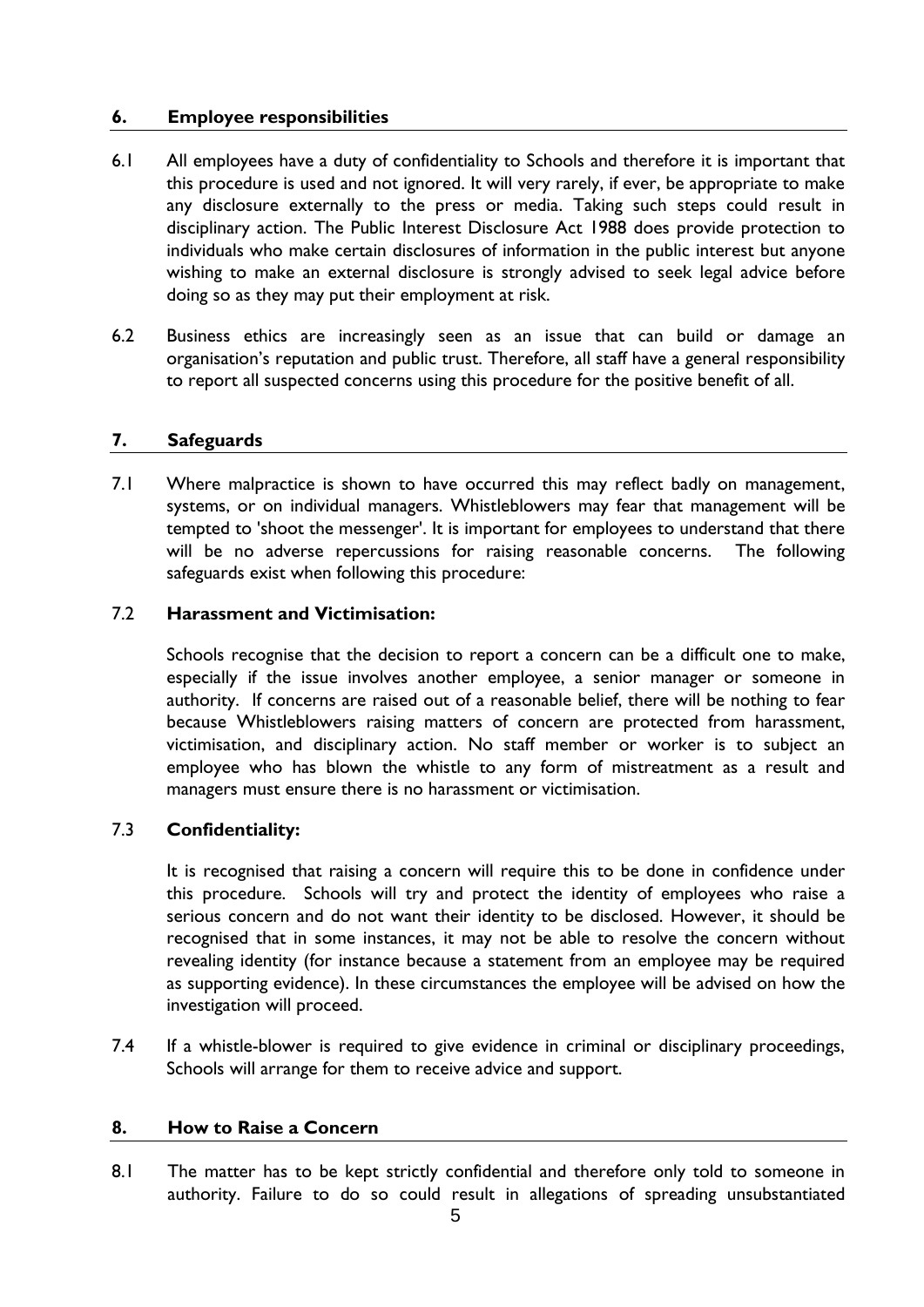# <span id="page-4-0"></span>**6. Employee responsibilities**

- 6.1 All employees have a duty of confidentiality to Schools and therefore it is important that this procedure is used and not ignored. It will very rarely, if ever, be appropriate to make any disclosure externally to the press or media. Taking such steps could result in disciplinary action. The Public Interest Disclosure Act 1988 does provide protection to individuals who make certain disclosures of information in the public interest but anyone wishing to make an external disclosure is strongly advised to seek legal advice before doing so as they may put their employment at risk.
- 6.2 Business ethics are increasingly seen as an issue that can build or damage an organisation's reputation and public trust. Therefore, all staff have a general responsibility to report all suspected concerns using this procedure for the positive benefit of all.

# <span id="page-4-1"></span>**7. Safeguards**

7.1 Where malpractice is shown to have occurred this may reflect badly on management, systems, or on individual managers. Whistleblowers may fear that management will be tempted to 'shoot the messenger'. It is important for employees to understand that there will be no adverse repercussions for raising reasonable concerns. The following safeguards exist when following this procedure:

# 7.2 **Harassment and Victimisation:**

Schools recognise that the decision to report a concern can be a difficult one to make, especially if the issue involves another employee, a senior manager or someone in authority. If concerns are raised out of a reasonable belief, there will be nothing to fear because Whistleblowers raising matters of concern are protected from harassment, victimisation, and disciplinary action. No staff member or worker is to subject an employee who has blown the whistle to any form of mistreatment as a result and managers must ensure there is no harassment or victimisation.

# 7.3 **Confidentiality:**

It is recognised that raising a concern will require this to be done in confidence under this procedure. Schools will try and protect the identity of employees who raise a serious concern and do not want their identity to be disclosed. However, it should be recognised that in some instances, it may not be able to resolve the concern without revealing identity (for instance because a statement from an employee may be required as supporting evidence). In these circumstances the employee will be advised on how the investigation will proceed.

7.4 If a whistle-blower is required to give evidence in criminal or disciplinary proceedings, Schools will arrange for them to receive advice and support.

# <span id="page-4-2"></span>**8. How to Raise a Concern**

8.1 The matter has to be kept strictly confidential and therefore only told to someone in authority. Failure to do so could result in allegations of spreading unsubstantiated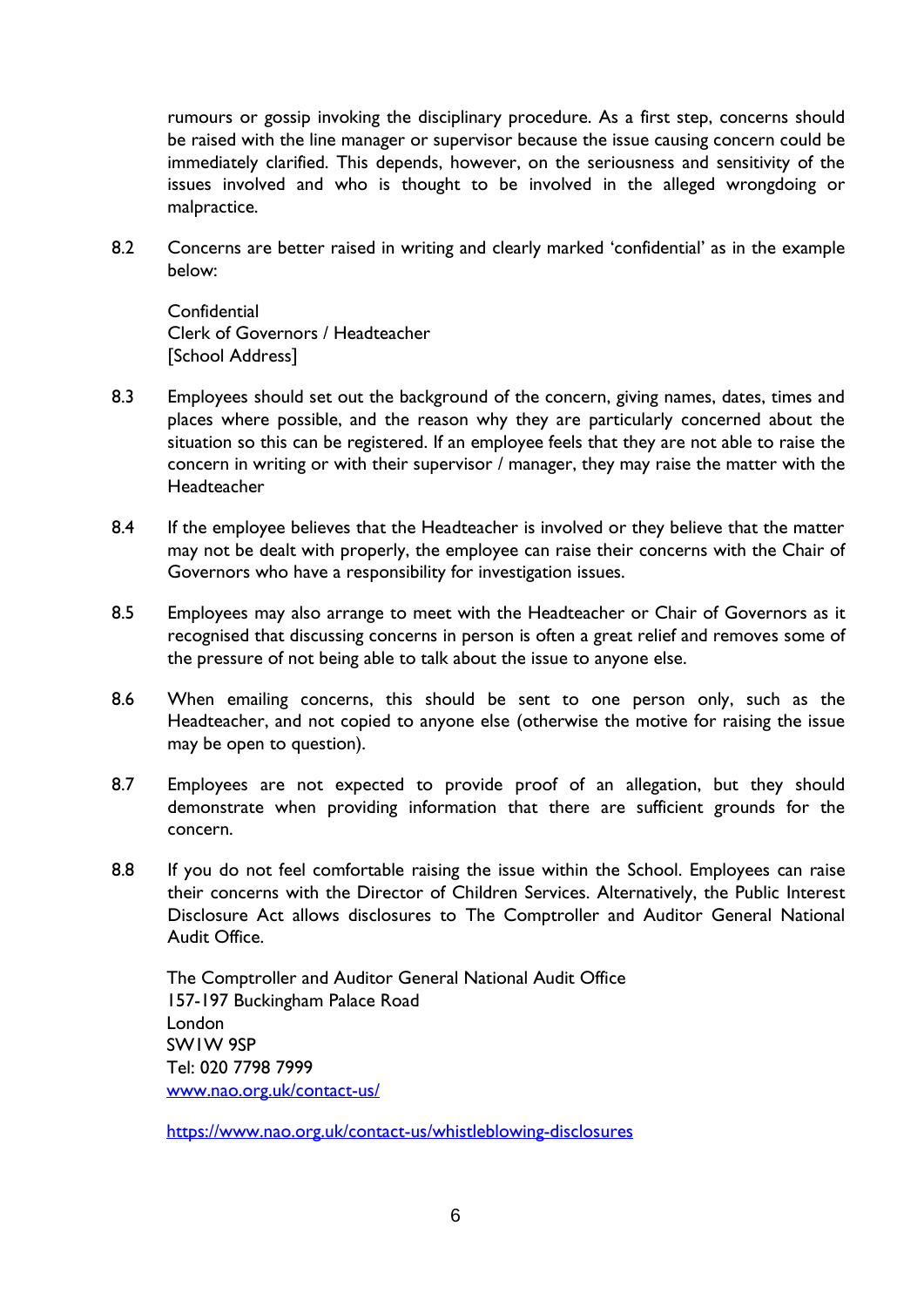rumours or gossip invoking the disciplinary procedure. As a first step, concerns should be raised with the line manager or supervisor because the issue causing concern could be immediately clarified. This depends, however, on the seriousness and sensitivity of the issues involved and who is thought to be involved in the alleged wrongdoing or malpractice.

8.2 Concerns are better raised in writing and clearly marked 'confidential' as in the example below:

**Confidential** Clerk of Governors / Headteacher [School Address]

- 8.3 Employees should set out the background of the concern, giving names, dates, times and places where possible, and the reason why they are particularly concerned about the situation so this can be registered. If an employee feels that they are not able to raise the concern in writing or with their supervisor / manager, they may raise the matter with the Headteacher
- 8.4 If the employee believes that the Headteacher is involved or they believe that the matter may not be dealt with properly, the employee can raise their concerns with the Chair of Governors who have a responsibility for investigation issues.
- 8.5 Employees may also arrange to meet with the Headteacher or Chair of Governors as it recognised that discussing concerns in person is often a great relief and removes some of the pressure of not being able to talk about the issue to anyone else.
- 8.6 When emailing concerns, this should be sent to one person only, such as the Headteacher, and not copied to anyone else (otherwise the motive for raising the issue may be open to question).
- 8.7 Employees are not expected to provide proof of an allegation, but they should demonstrate when providing information that there are sufficient grounds for the concern.
- 8.8 If you do not feel comfortable raising the issue within the School. Employees can raise their concerns with the Director of Children Services. Alternatively, the Public Interest Disclosure Act allows disclosures to The Comptroller and Auditor General National Audit Office.

The Comptroller and Auditor General National Audit Office 157-197 Buckingham Palace Road London SW1W 9SP Tel: 020 7798 7999 [www.nao.org.uk/contact-us/](http://www.nao.org.uk/contact-us/)

<https://www.nao.org.uk/contact-us/whistleblowing-disclosures>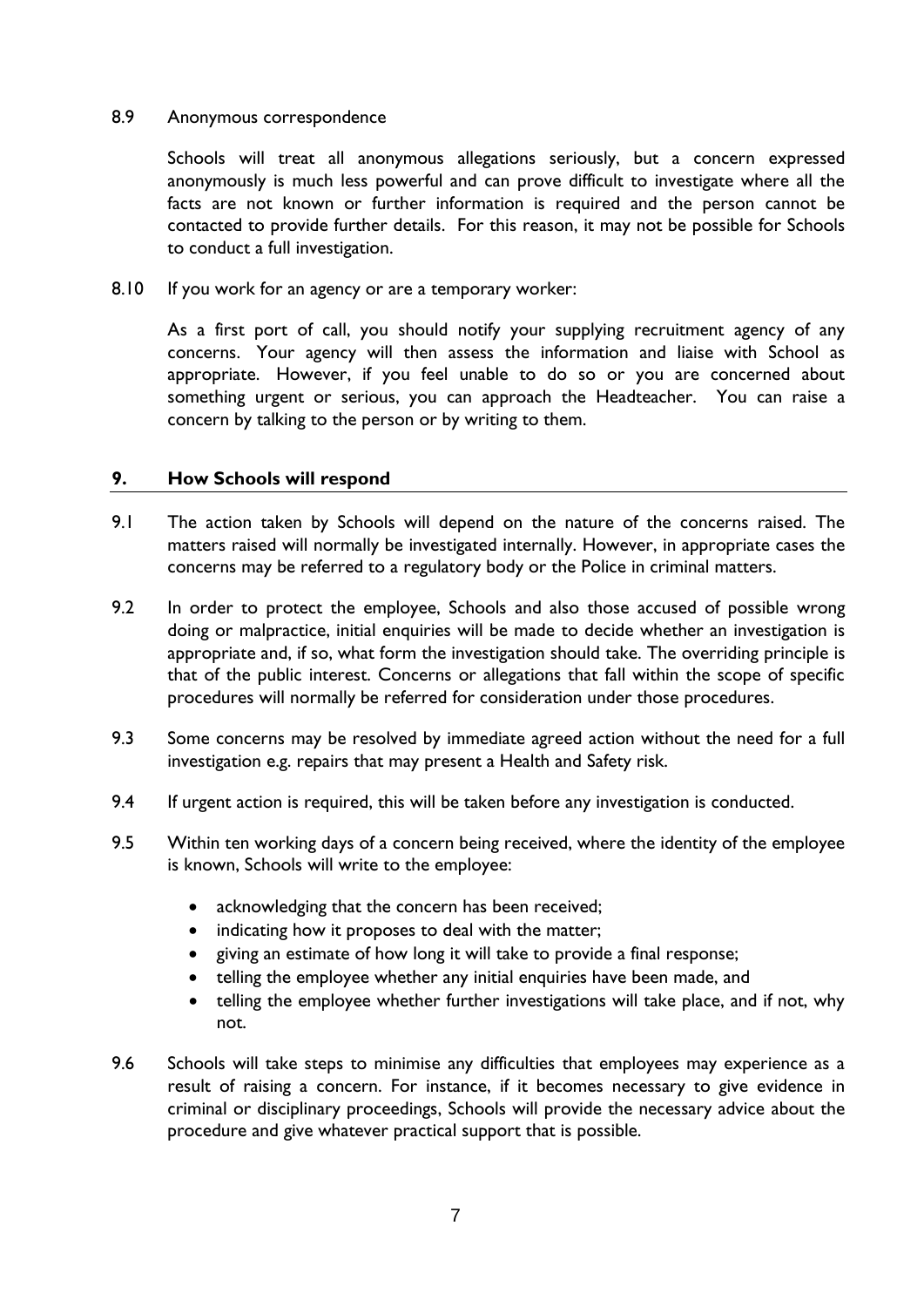#### 8.9 Anonymous correspondence

Schools will treat all anonymous allegations seriously, but a concern expressed anonymously is much less powerful and can prove difficult to investigate where all the facts are not known or further information is required and the person cannot be contacted to provide further details. For this reason, it may not be possible for Schools to conduct a full investigation.

8.10 If you work for an agency or are a temporary worker:

As a first port of call, you should notify your supplying recruitment agency of any concerns. Your agency will then assess the information and liaise with School as appropriate. However, if you feel unable to do so or you are concerned about something urgent or serious, you can approach the Headteacher. You can raise a concern by talking to the person or by writing to them.

#### <span id="page-6-0"></span>**9. How Schools will respond**

- 9.1 The action taken by Schools will depend on the nature of the concerns raised. The matters raised will normally be investigated internally. However, in appropriate cases the concerns may be referred to a regulatory body or the Police in criminal matters.
- 9.2 In order to protect the employee, Schools and also those accused of possible wrong doing or malpractice, initial enquiries will be made to decide whether an investigation is appropriate and, if so, what form the investigation should take. The overriding principle is that of the public interest. Concerns or allegations that fall within the scope of specific procedures will normally be referred for consideration under those procedures.
- 9.3 Some concerns may be resolved by immediate agreed action without the need for a full investigation e.g. repairs that may present a Health and Safety risk.
- 9.4 If urgent action is required, this will be taken before any investigation is conducted.
- 9.5 Within ten working days of a concern being received, where the identity of the employee is known, Schools will write to the employee:
	- acknowledging that the concern has been received;
	- indicating how it proposes to deal with the matter;
	- giving an estimate of how long it will take to provide a final response;
	- telling the employee whether any initial enquiries have been made, and
	- telling the employee whether further investigations will take place, and if not, why not.
- 9.6 Schools will take steps to minimise any difficulties that employees may experience as a result of raising a concern. For instance, if it becomes necessary to give evidence in criminal or disciplinary proceedings, Schools will provide the necessary advice about the procedure and give whatever practical support that is possible.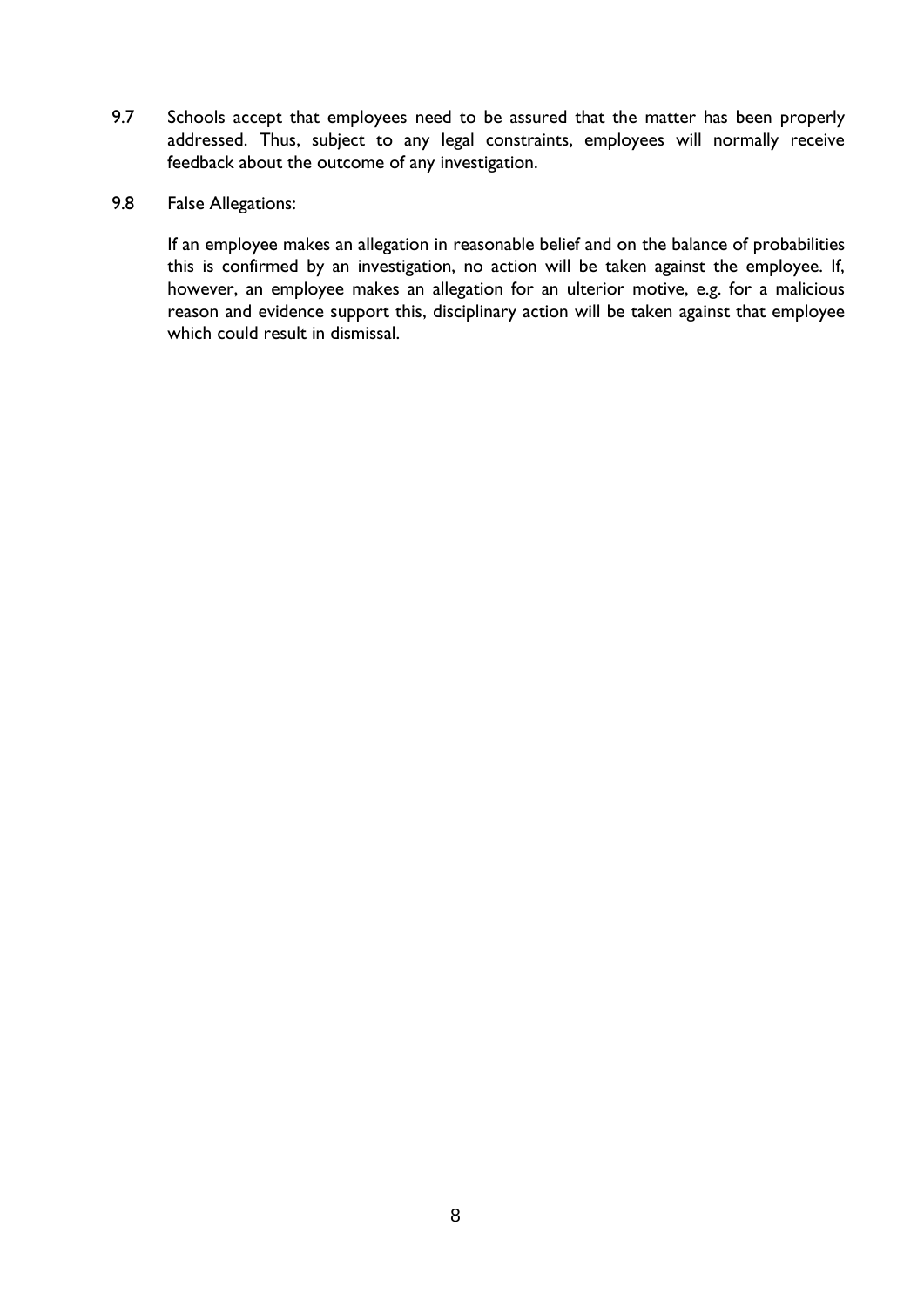- 9.7 Schools accept that employees need to be assured that the matter has been properly addressed. Thus, subject to any legal constraints, employees will normally receive feedback about the outcome of any investigation.
- 9.8 False Allegations:

If an employee makes an allegation in reasonable belief and on the balance of probabilities this is confirmed by an investigation, no action will be taken against the employee. If, however, an employee makes an allegation for an ulterior motive, e.g. for a malicious reason and evidence support this, disciplinary action will be taken against that employee which could result in dismissal.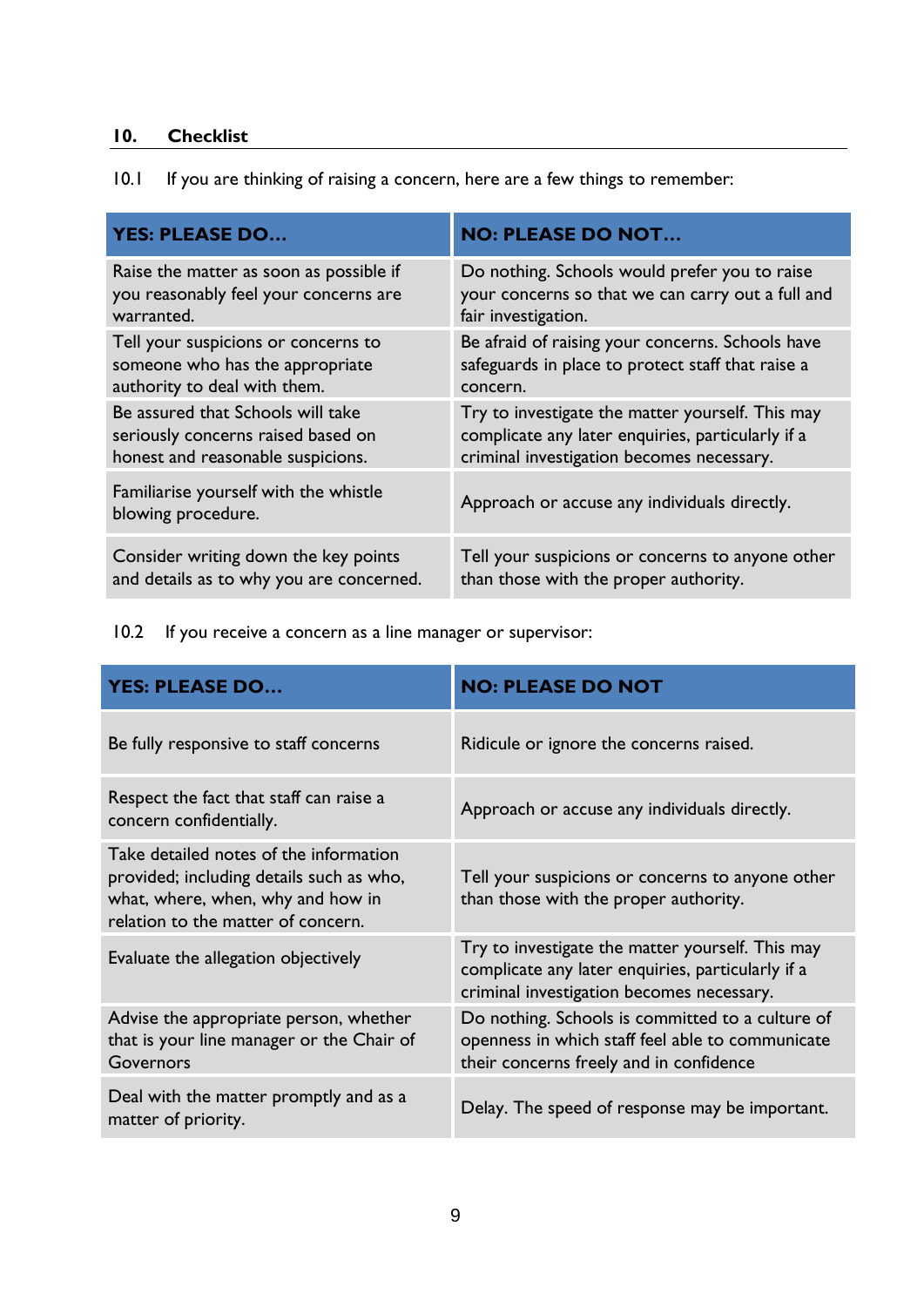# <span id="page-8-0"></span>**10. Checklist**

|  | 10.1 If you are thinking of raising a concern, here are a few things to remember: |  |
|--|-----------------------------------------------------------------------------------|--|
|  |                                                                                   |  |

| <b>YES: PLEASE DO</b>                                       | <b>NO: PLEASE DO NOT</b>                          |
|-------------------------------------------------------------|---------------------------------------------------|
| Raise the matter as soon as possible if                     | Do nothing. Schools would prefer you to raise     |
| you reasonably feel your concerns are                       | your concerns so that we can carry out a full and |
| warranted.                                                  | fair investigation.                               |
| Tell your suspicions or concerns to                         | Be afraid of raising your concerns. Schools have  |
| someone who has the appropriate                             | safeguards in place to protect staff that raise a |
| authority to deal with them.                                | concern.                                          |
| Be assured that Schools will take                           | Try to investigate the matter yourself. This may  |
| seriously concerns raised based on                          | complicate any later enquiries, particularly if a |
| honest and reasonable suspicions.                           | criminal investigation becomes necessary.         |
| Familiarise yourself with the whistle<br>blowing procedure. | Approach or accuse any individuals directly.      |
| Consider writing down the key points                        | Tell your suspicions or concerns to anyone other  |
| and details as to why you are concerned.                    | than those with the proper authority.             |

10.2 If you receive a concern as a line manager or supervisor:

| <b>YES: PLEASE DO</b>                                                                                                                                         | <b>NO: PLEASE DO NOT</b>                                                                                                                           |
|---------------------------------------------------------------------------------------------------------------------------------------------------------------|----------------------------------------------------------------------------------------------------------------------------------------------------|
| Be fully responsive to staff concerns                                                                                                                         | Ridicule or ignore the concerns raised.                                                                                                            |
| Respect the fact that staff can raise a<br>concern confidentially.                                                                                            | Approach or accuse any individuals directly.                                                                                                       |
| Take detailed notes of the information<br>provided; including details such as who,<br>what, where, when, why and how in<br>relation to the matter of concern. | Tell your suspicions or concerns to anyone other<br>than those with the proper authority.                                                          |
| Evaluate the allegation objectively                                                                                                                           | Try to investigate the matter yourself. This may<br>complicate any later enquiries, particularly if a<br>criminal investigation becomes necessary. |
| Advise the appropriate person, whether<br>that is your line manager or the Chair of<br>Governors                                                              | Do nothing. Schools is committed to a culture of<br>openness in which staff feel able to communicate<br>their concerns freely and in confidence    |
| Deal with the matter promptly and as a<br>matter of priority.                                                                                                 | Delay. The speed of response may be important.                                                                                                     |